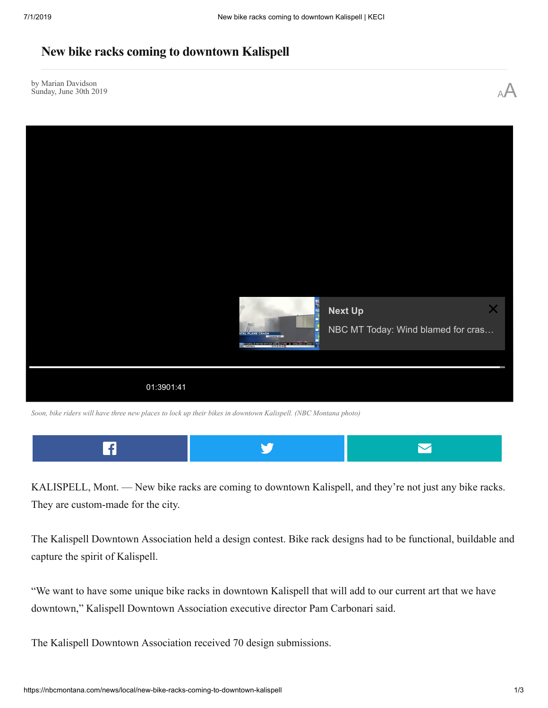# **New bike racks coming to downtown Kalispell**

by Marian Davidson by Marian Davidson<br>Sunday, June 30th 2019  $A^A$ 



*Soon, bike riders will have three new places to lock up their bikes in downtown Kalispell. (NBC Montana photo)*



KALISPELL, Mont. — New bike racks are coming to downtown Kalispell, and they're not just any bike racks. They are custom-made for the city.

The Kalispell Downtown Association held a design contest. Bike rack designs had to be functional, buildable and capture the spirit of Kalispell.

"We want to have some unique bike racks in downtown Kalispell that will add to our current art that we have downtown," Kalispell Downtown Association executive director Pam Carbonari said.

The Kalispell Downtown Association received 70 design submissions.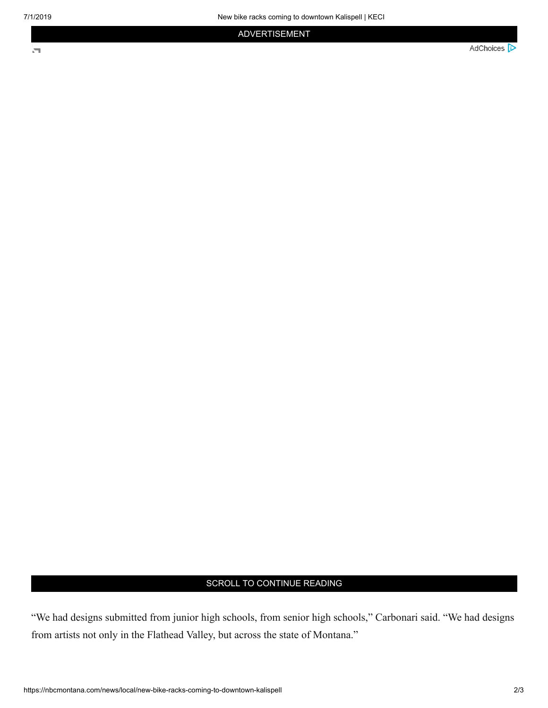$\overline{\mathbf{r}}$ 

## ADVERTISEMENT

AdChoices **D** 

### SCROLL TO CONTINUE READING

"We had designs submitted from junior high schools, from senior high schools," Carbonari said. "We had designs from artists not only in the Flathead Valley, but across the state of Montana."